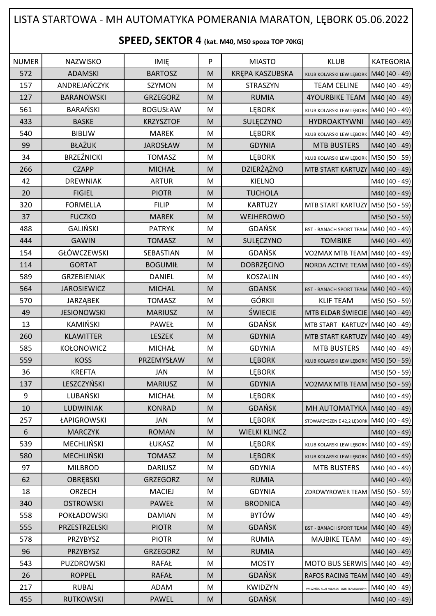## LISTA STARTOWA - MH AUTOMATYKA POMERANIA MARATON, LĘBORK 05.06.2022

## **SPEED, SEKTOR 4 (kat. M40, M50 spoza TOP 70KG)**

| <b>NUMER</b> | <b>NAZWISKO</b>    | <b>IMIE</b>      | ${\sf P}$ | <b>MIASTO</b>        | <b>KLUB</b>                                   | <b>KATEGORIA</b> |
|--------------|--------------------|------------------|-----------|----------------------|-----------------------------------------------|------------------|
| 572          | <b>ADAMSKI</b>     | <b>BARTOSZ</b>   | M         | KRĘPA KASZUBSKA      | KLUB KOLARSKI LEW LĘBORK                      | M40 (40 - 49)    |
| 157          | ANDREJAŃCZYK       | <b>SZYMON</b>    | M         | <b>STRASZYN</b>      | <b>TEAM CELINE</b>                            | M40 (40 - 49)    |
| 127          | <b>BARANOWSKI</b>  | <b>GRZEGORZ</b>  | M         | <b>RUMIA</b>         | <b>4YOURBIKE TEAM</b>                         | M40 (40 - 49)    |
| 561          | <b>BARAŃSKI</b>    | <b>BOGUSŁAW</b>  | M         | LĘBORK               | KLUB KOLARSKI LEW LĘBORK                      | M40 (40 - 49)    |
| 433          | <b>BASKE</b>       | <b>KRZYSZTOF</b> | M         | SULĘCZYNO            | HYDROAKTYWNI                                  | M40 (40 - 49)    |
| 540          | <b>BIBLIW</b>      | <b>MAREK</b>     | M         | <b>LEBORK</b>        | KLUB KOLARSKI LEW LĘBORK M40 (40 - 49)        |                  |
| 99           | <b>BŁAŻUK</b>      | <b>JAROSŁAW</b>  | M         | <b>GDYNIA</b>        | <b>MTB BUSTERS</b>                            | M40 (40 - 49)    |
| 34           | <b>BRZEŹNICKI</b>  | <b>TOMASZ</b>    | M         | <b>LEBORK</b>        | KLUB KOLARSKI LEW LĘBORK                      | M50 (50 - 59)    |
| 266          | <b>CZAPP</b>       | <b>MICHAŁ</b>    | M         | DZIERŻĄŻNO           | MTB START KARTUZY                             | M40 (40 - 49)    |
| 42           | <b>DREWNIAK</b>    | <b>ARTUR</b>     | M         | <b>KIELNO</b>        |                                               | M40 (40 - 49)    |
| 20           | <b>FIGIEL</b>      | <b>PIOTR</b>     | M         | <b>TUCHOLA</b>       |                                               | M40 (40 - 49)    |
| 320          | <b>FORMELLA</b>    | <b>FILIP</b>     | M         | <b>KARTUZY</b>       | MTB START KARTUZY M50 (50 - 59)               |                  |
| 37           | <b>FUCZKO</b>      | <b>MAREK</b>     | M         | WEJHEROWO            |                                               | M50 (50 - 59)    |
| 488          | <b>GALIŃSKI</b>    | <b>PATRYK</b>    | M         | <b>GDAŃSK</b>        | BST - BANACH SPORT TEAM M40 (40 - 49)         |                  |
| 444          | <b>GAWIN</b>       | <b>TOMASZ</b>    | M         | SULĘCZYNO            | <b>TOMBIKE</b>                                | M40 (40 - 49)    |
| 154          | <b>GŁÓWCZEWSKI</b> | SEBASTIAN        | M         | GDAŃSK               | VO2MAX MTB TEAM M40 (40 - 49)                 |                  |
| 114          | <b>GORTAT</b>      | <b>BOGUMIŁ</b>   | M         | DOBRZĘCINO           | NORDA ACTIVE TEAM                             | M40 (40 - 49)    |
| 589          | <b>GRZEBIENIAK</b> | <b>DANIEL</b>    | M         | <b>KOSZALIN</b>      |                                               | M40 (40 - 49)    |
| 564          | <b>JAROSIEWICZ</b> | <b>MICHAL</b>    | M         | <b>GDANSK</b>        | BST - BANACH SPORT TEAM M40 (40 - 49)         |                  |
| 570          | <b>JARZĄBEK</b>    | <b>TOMASZ</b>    | M         | <b>GÓRKII</b>        | <b>KLIF TEAM</b>                              | M50 (50 - 59)    |
| 49           | <b>JESIONOWSKI</b> | <b>MARIUSZ</b>   | M         | <b>ŚWIECIE</b>       | MTB ELDAR ŚWIECIE M40 (40 - 49)               |                  |
| 13           | <b>KAMIŃSKI</b>    | PAWEŁ            | M         | GDAŃSK               | MTB START KARTUZY M40 (40 - 49)               |                  |
| 260          | <b>KLAWITTER</b>   | LESZEK           | M         | <b>GDYNIA</b>        | MTB START KARTUZY M40 (40 - 49)               |                  |
| 585          | <b>KOŁONOWICZ</b>  | <b>MICHAŁ</b>    | M         | <b>GDYNIA</b>        | <b>MTB BUSTERS</b>                            | M40 (40 - 49)    |
| 559          | <b>KOSS</b>        | PRZEMYSŁAW       | M         | <b>LEBORK</b>        | KLUB KOLARSKI LEW LĘBORK                      | M50 (50 - 59)    |
| 36           | <b>KREFTA</b>      | <b>JAN</b>       | M         | <b>LEBORK</b>        |                                               | M50 (50 - 59)    |
| 137          | LESZCZYŃSKI        | <b>MARIUSZ</b>   | M         | <b>GDYNIA</b>        | VO2MAX MTB TEAM   M50 (50 - 59)               |                  |
| 9            | LUBAŃSKI           | <b>MICHAŁ</b>    | M         | <b>LEBORK</b>        |                                               | M40 (40 - 49)    |
| 10           | LUDWINIAK          | <b>KONRAD</b>    | M         | <b>GDAŃSK</b>        | MH AUTOMATYKA                                 | M40 (40 - 49)    |
| 257          | ŁAPIGROWSKI        | JAN              | M         | <b>LEBORK</b>        | STOWARZYSZENIE 42,2 LEBORK                    | $MA0(40 - 49)$   |
| 6            | <b>MARCZYK</b>     | <b>ROMAN</b>     | M         | <b>WIELKI KLINCZ</b> |                                               | M40 (40 - 49)    |
| 539          | MECHLIŃSKI         | ŁUKASZ           | M         | <b>LEBORK</b>        | KLUB KOLARSKI LEW LĘBORK M40 (40 - 49)        |                  |
| 580          | <b>MECHLIŃSKI</b>  | <b>TOMASZ</b>    | M         | <b>LEBORK</b>        | KLUB KOLARSKI LEW LĘBORK                      | M40 (40 - 49)    |
| 97           | <b>MILBROD</b>     | <b>DARIUSZ</b>   | M         | <b>GDYNIA</b>        | <b>MTB BUSTERS</b>                            | M40 (40 - 49)    |
| 62           | OBRĘBSKI           | GRZEGORZ         | M         | <b>RUMIA</b>         |                                               | M40 (40 - 49)    |
| 18           | ORZECH             | <b>MACIEJ</b>    | M         | <b>GDYNIA</b>        | ZDROWYROWER TEAM                              | M50 (50 - 59)    |
| 340          | <b>OSTROWSKI</b>   | PAWEŁ            | M         | <b>BRODNICA</b>      |                                               | $M40(40 - 49)$   |
| 558          | POKŁADOWSKI        | <b>DAMIAN</b>    | M         | <b>BYTÓW</b>         |                                               | M40 (40 - 49)    |
| 555          | PRZESTRZELSKI      | <b>PIOTR</b>     | M         | GDAŃSK               | <b>BST - BANACH SPORT TEAM</b>                | M40 (40 - 49)    |
| 578          | PRZYBYSZ           | <b>PIOTR</b>     | M         | <b>RUMIA</b>         | <b>MAJBIKE TEAM</b>                           | M40 (40 - 49)    |
| 96           | PRZYBYSZ           | <b>GRZEGORZ</b>  | M         | <b>RUMIA</b>         |                                               | M40 (40 - 49)    |
| 543          | PUZDROWSKI         | <b>RAFAŁ</b>     | M         | <b>MOSTY</b>         | MOTO BUS SERWIS M40 (40 - 49)                 |                  |
| 26           | <b>ROPPEL</b>      | <b>RAFAŁ</b>     | M         | <b>GDAŃSK</b>        | RAFOS RACING TEAM M40 (40 - 49)               |                  |
| 217          | <b>RUBAJ</b>       | ADAM             | M         | KWIDZYN              | KWIDZYŃSKI KLUB KOLARSKI - DZIKI TEAM KWIDZYN | M40 (40 - 49)    |
| 455          | <b>RUTKOWSKI</b>   | <b>PAWEL</b>     | M         | <b>GDAŃSK</b>        |                                               | M40 (40 - 49)    |